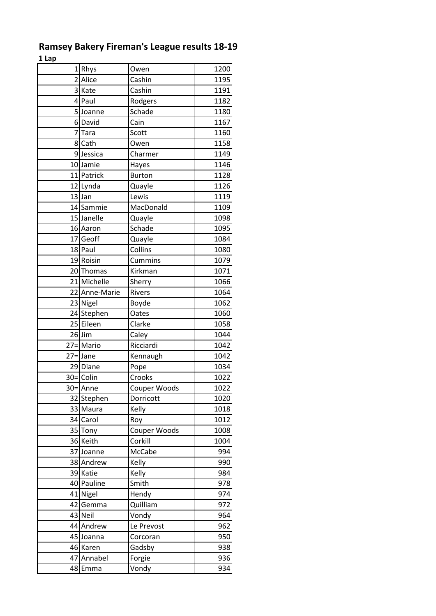| τ ταλ                   |               |      |
|-------------------------|---------------|------|
| Rhys<br>1               | Owen          | 1200 |
| Alice<br>$\overline{2}$ | Cashin        | 1195 |
| 3 Kate                  | Cashin        | 1191 |
| 4 Paul                  | Rodgers       | 1182 |
| 5Joanne                 | Schade        | 1180 |
| David<br>6              | Cain          | 1167 |
| 7<br>Tara               | Scott         | 1160 |
| 8 Cath                  | Owen          | 1158 |
| 9 Jessica               | Charmer       | 1149 |
| 10 Jamie                | Hayes         | 1146 |
| 11 Patrick              | <b>Burton</b> | 1128 |
| 12 Lynda                | Quayle        | 1126 |
| 13 Jan                  | Lewis         | 1119 |
| 14 Sammie               | MacDonald     | 1109 |
| 15 Janelle              | Quayle        | 1098 |
| 16 Aaron                | Schade        | 1095 |
| 17 Geoff                | Quayle        | 1084 |
| 18 Paul                 | Collins       | 1080 |
| 19 Roisin               | Cummins       | 1079 |
| 20 Thomas               | Kirkman       | 1071 |
| 21 Michelle             |               |      |
|                         | Sherry        | 1066 |
| Anne-Marie<br>22        | <b>Rivers</b> | 1064 |
| 23 Nigel                | Boyde         | 1062 |
| 24 Stephen              | Oates         | 1060 |
| 25 Eileen               | Clarke        | 1058 |
| $26$ Jim                | Caley         | 1044 |
| 27=Mario                | Ricciardi     | 1042 |
| $27 =$ Jane             | Kennaugh      | 1042 |
| 29 Diane                | Pope          | 1034 |
| $30=$ Colin             | Crooks        | 1022 |
| $30 =$ Anne             | Couper Woods  | 1022 |
| 32 Stephen              | Dorricott     | 1020 |
| 33 Maura                | Kelly         | 1018 |
| 34 Carol                | Roy           | 1012 |
| 35 Tony                 | Couper Woods  | 1008 |
| 36 Keith                | Corkill       | 1004 |
| 37 Joanne               | McCabe        | 994  |
| 38 Andrew               | Kelly         | 990  |
| 39 Katie                | Kelly         | 984  |
| 40 Pauline              | Smith         | 978  |
| 41 Nigel                | Hendy         | 974  |
| Gemma<br>42             | Quilliam      | 972  |
| 43 Neil                 | Vondy         | 964  |
| 44 Andrew               | Le Prevost    | 962  |
| 45 Joanna               | Corcoran      | 950  |
| 46 Karen                | Gadsby        | 938  |
| Annabel<br>47           | Forgie        | 936  |
| 48<br>Emma              | Vondy         | 934  |

## **Ramsey Bakery Fireman's League results 18-19 1 Lap**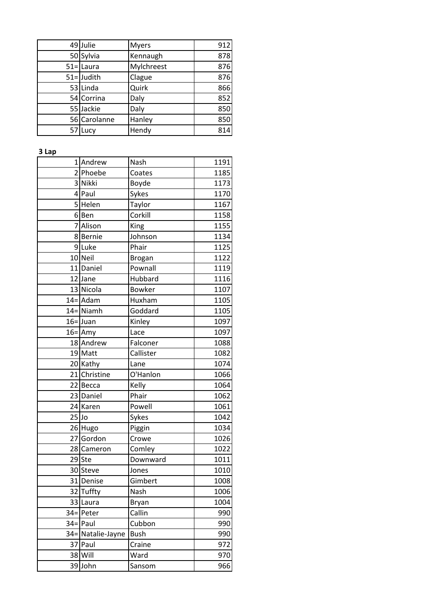|    | 49 Julie      | <b>Myers</b> | 912 |
|----|---------------|--------------|-----|
|    | 50 Sylvia     | Kennaugh     | 878 |
|    | $51 =$ Laura  | Mylchreest   | 876 |
|    | $51 =$ Judith | Clague       | 876 |
|    | 53 Linda      | Quirk        | 866 |
|    | 54 Corrina    | Daly         | 852 |
|    | 55 Jackie     | Daly         | 850 |
|    | 56 Carolanne  | Hanley       | 850 |
| 57 | Lucy          | Hendy        | 814 |

## **3 Lap**

| $\mathbf{1}$   | Andrew        | Nash          | 1191 |
|----------------|---------------|---------------|------|
| $\overline{2}$ | Phoebe        | Coates        | 1185 |
|                | 3 Nikki       | Boyde         | 1173 |
|                | 4 Paul        | Sykes         | 1170 |
|                | 5 Helen       | Taylor        | 1167 |
|                | 6Ben          | Corkill       | 1158 |
| 7              | Alison        | King          | 1155 |
|                | 8Bernie       | Johnson       | 1134 |
|                | 9Luke         | Phair         | 1125 |
|                | 10 Neil       | Brogan        | 1122 |
|                | 11 Daniel     | Pownall       | 1119 |
|                | 12 Jane       | Hubbard       | 1116 |
|                | 13 Nicola     | <b>Bowker</b> | 1107 |
|                | $14 =$ Adam   | Huxham        | 1105 |
|                | $14 =$ Niamh  | Goddard       | 1105 |
|                | $16 =$ Juan   | Kinley        | 1097 |
|                | $16 =$ Amy    | Lace          | 1097 |
|                | 18 Andrew     | Falconer      | 1088 |
|                | 19 Matt       | Callister     | 1082 |
|                | 20 Kathy      | Lane          | 1074 |
|                | 21 Christine  | O'Hanlon      | 1066 |
|                | 22 Becca      | Kelly         | 1064 |
|                | 23 Daniel     | Phair         | 1062 |
|                | 24 Karen      | Powell        | 1061 |
| $25$ Jo        |               | Sykes         | 1042 |
|                | 26 Hugo       | Piggin        | 1034 |
|                | 27 Gordon     | Crowe         | 1026 |
|                | 28 Cameron    | Comley        | 1022 |
|                | 29 Ste        | Downward      | 1011 |
|                | 30 Steve      | Jones         | 1010 |
|                | 31 Denise     | Gimbert       | 1008 |
| 32             | Tuffty        | Nash          | 1006 |
| 33             | Laura         | Bryan         | 1004 |
| $34 =$         | Peter         | Callin        | 990  |
| $34 =$         | Paul          | Cubbon        | 990  |
| $34 =$         | Natalie-Jayne | <b>Bush</b>   | 990  |
| 37             | Paul          | Craine        | 972  |
| 38             | Will          | Ward          | 970  |
| 39             | John          | Sansom        | 966  |